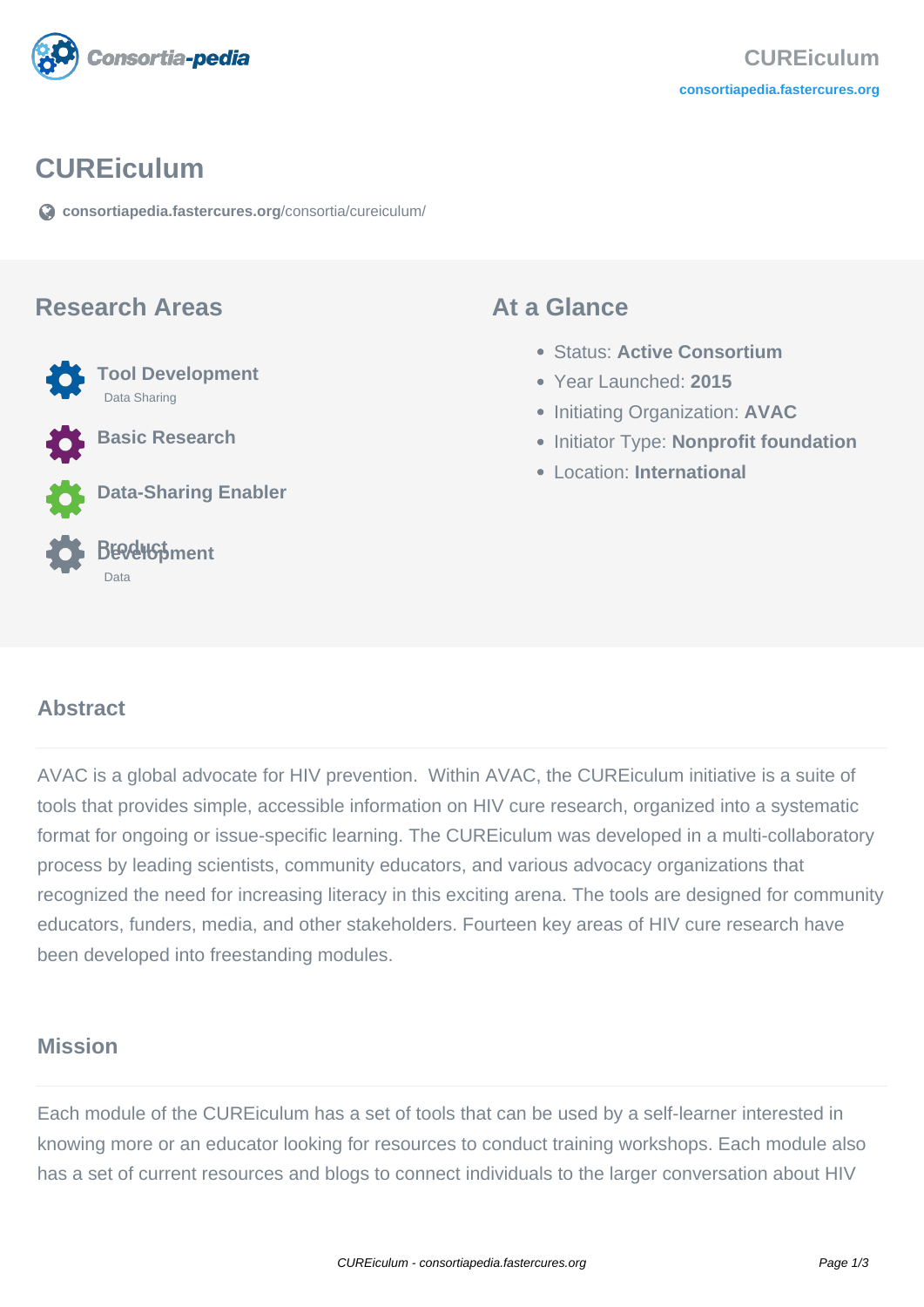

## **CUREiculum**

**[consortiapedia.fastercures.org](https://consortiapedia.fastercures.org/consortia/cureiculum/)**[/consortia/cureiculum/](https://consortiapedia.fastercures.org/consortia/cureiculum/)

#### **Research Areas**



**Basic Research**

**Data-Sharing Enabler**



#### **At a Glance**

- Status: **Active Consortium**
- Year Launched: **2015**
- **Initiating Organization: AVAC**
- **Initiator Type: Nonprofit foundation**
- Location: **International**

#### $\overline{a}$ **Abstract**

AVAC is a global advocate for HIV prevention. Within AVAC, the CUREiculum initiative is a suite of tools that provides simple, accessible information on HIV cure research, organized into a systematic format for ongoing or issue-specific learning. The CUREiculum was developed in a multi-collaboratory process by leading scientists, community educators, and various advocacy organizations that recognized the need for increasing literacy in this exciting arena. The tools are designed for community educators, funders, media, and other stakeholders. Fourteen key areas of HIV cure research have been developed into freestanding modules.

#### **Mission**

Each module of the CUREiculum has a set of tools that can be used by a self-learner interested in knowing more or an educator looking for resources to conduct training workshops. Each module also has a set of current resources and blogs to connect individuals to the larger conversation about HIV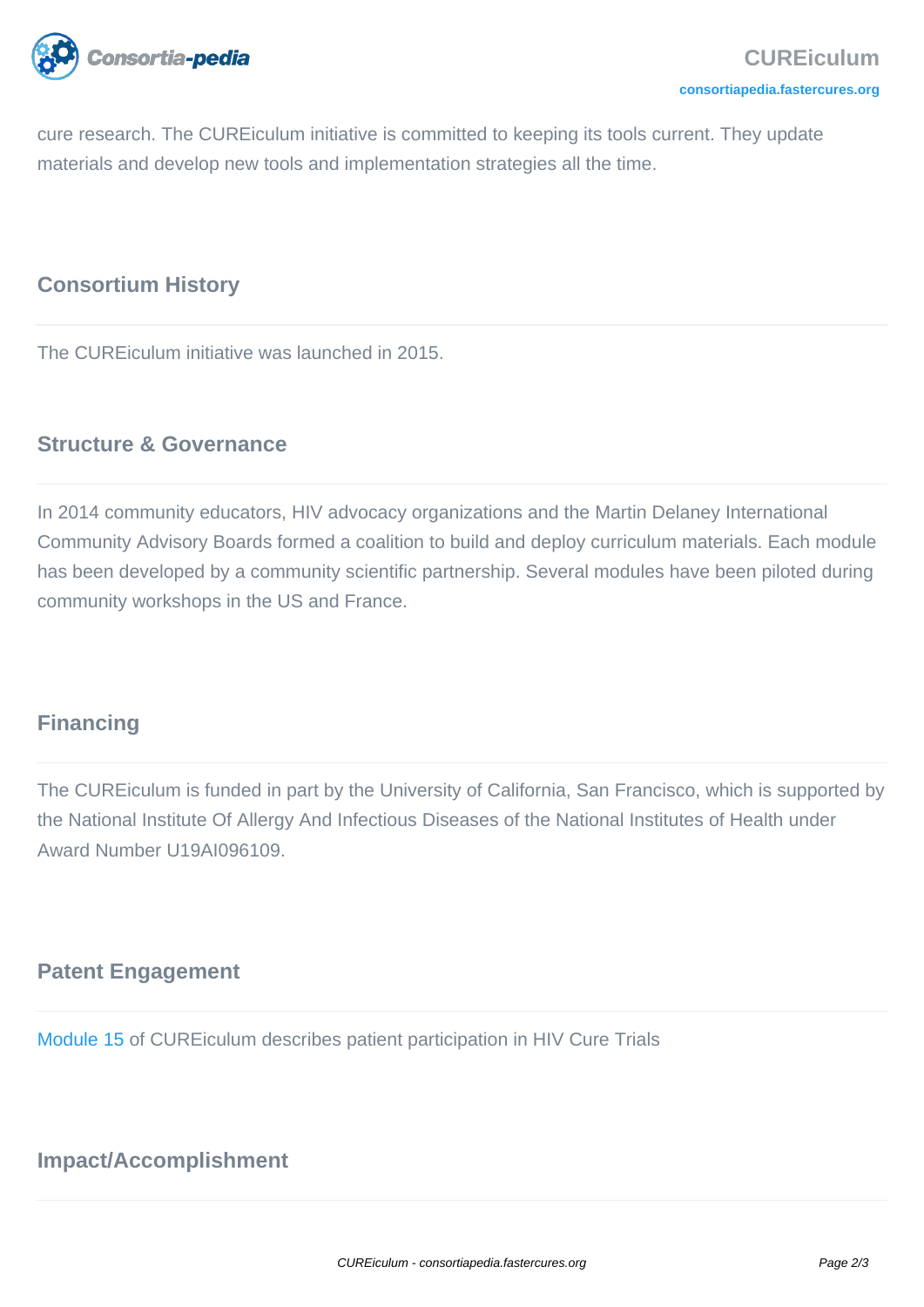

cure research. The CUREiculum initiative is committed to keeping its tools current. They update materials and develop new tools and implementation strategies all the time.

### **Consortium History**

The CUREiculum initiative was launched in 2015.

## **Structure & Governance**

In 2014 community educators, HIV advocacy organizations and the Martin Delaney International Community Advisory Boards formed a coalition to build and deploy curriculum materials. Each module has been developed by a community scientific partnership. Several modules have been piloted during community workshops in the US and France.

## **Financing**

The CUREiculum is funded in part by the University of California, San Francisco, which is supported by the National Institute Of Allergy And Infectious Diseases of the National Institutes of Health under Award Number U19AI096109.

## **Patent Engagement**

[Module 15](http://www.avac.org/cure-curriculum/module15) of CUREiculum describes patient participation in HIV Cure Trials

## **Impact/Accomplishment**